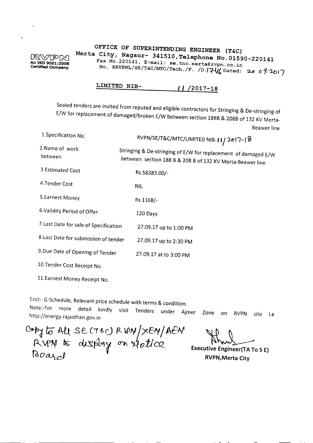## $\mathbb{R}\mathbb{V}$ PM **An ISO 9001:2008 Certlfled Company**

 $\ddot{\phantom{a}}$ 

## **OFFICE OF SUPERINTENDING ENGINEER (T&C) Merta City, Nagaur- 341510,Telephone No.01590-220141** Fax No.220141, E-mail: se.tnc.merta@rvpn.co.in No. RRVPNL/SE/T&C/MTC/Tech./F. /D. $\left[\mathcal{H} \right]$ Dated: 20072017

## **LIMITED NIB-** *" /2017-18*

Sealed tenders are invited from reputed and eligible contractors for Stringing & De-stringing of E/W for replacement of damaged/broken E/W between section 188B & 208B of 132 KV Merta-Beawer line

| 1. Specification No.                   | RVPN/SE/T&C/MTC/LIMITED NIB-11/2017-18                                                                                      |
|----------------------------------------|-----------------------------------------------------------------------------------------------------------------------------|
| 2.Name of work<br>between              | Stringing & De-stringing of E/W for replacement of damaged E/W<br>between section 188 B & 208 B of 132 KV Merta-Beawer line |
| 3.Estimated Cost                       | Rs 58383.00/-                                                                                                               |
| 4. Tender Cost                         | NIL                                                                                                                         |
| 5. Earnest Money                       | Rs 1168/-                                                                                                                   |
| 6. Validity Period of Offer            | 120 Days                                                                                                                    |
| 7. Last Date for sale of Specification | 27.09.17 up to 1:00 PM                                                                                                      |
| 8. Last Date for submission of tender  | 27.09.17 up to 2:30 PM                                                                                                      |
| 9. Due Date of Opening of Tender       | 27.09.17 at to 3:00 PM                                                                                                      |
| 10. Tender Cost Receipt No.            |                                                                                                                             |
| 11. Earnest Money Receipt No.          |                                                                                                                             |

Encl:- G-Schedule, Relevant price schedule with terms & condition. Note:-For more detail kindly *visit* Tenders under Ajmer Zone on RVPN site i.e http://energy.rajasthan.gov.in

Qr.p¢ /i) Mt sC(1 & c) p.\_ *WN.:* &y/ *A&-I*  $R~VV~$  to display on  $\psi_o t$ icq *~O~*

~

**Executive Engineer(TA To S E) RVPN,Merta City**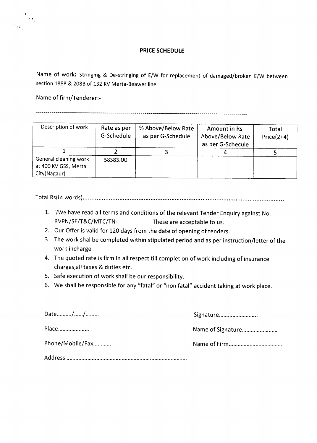

### **PRICE SCHEDULE**

Name of work: Stringing & De-stringing of E/W for replacement of damaged/broken E/W between section 188B & 208B of 132 KV Merta-Beawer line

Name of firm/Tenderer:-

**-----------------------------------------------------------------------------------------------------------**

| Description of work                                           | Rate as per<br>G-Schedule | % Above/Below Rate<br>as per G-Schedule | Amount in Rs.<br>Above/Below Rate<br>as per G-Schecule | Total<br>$Price(2+4)$ |
|---------------------------------------------------------------|---------------------------|-----------------------------------------|--------------------------------------------------------|-----------------------|
|                                                               |                           |                                         |                                                        |                       |
| General cleaning work<br>at 400 KV GSS, Merta<br>City(Nagaur) | 58383.00                  |                                         |                                                        |                       |

Total Rs(ln words} .

- 1. i/We have read all terms and conditions of the relevant Tender Enquiry against No. RVPN/SE/T&C/MTC/TN- These are acceptable to us.
- 2. Our Offer is valid for 120 days from the date of opening of tenders.
- 3. The work shal be completed within stipulated period and as per instruction/letter of the work incharge
- 4. The quoted rate is firm in all respect till completion of work including of insurance charges/all taxes & duties etc.
- 5. Safe execution of work shall be our responsibility.
- 6. We shall be responsible for any "fatal" or "non fatal" accident taking at work place.

| Date//           | Signature         |
|------------------|-------------------|
| Place            | Name of Signature |
| Phone/Mobile/Fax |                   |
|                  |                   |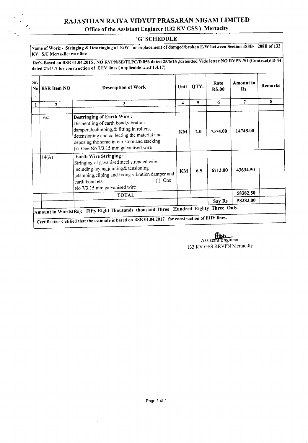# RAJASTHAN RAJYA VIDYUT PRASARAN NIGAM LIMITED

## Office of the Assistant Engineer (132 KV GSS) Mertacity

#### 'G' SCHEDULE

Name of Work:- Stringing & Destringing of E/W for replacement of damged/broken E/W between Section 188B- 208B of 132 KV SIC Merta-Beawar line

Ref:- Based on BSR 01.04.2015, NO RVPN/SE/TLPC/D 856 dated 25/6/15, Extended Vide letter NO RVPN /SE(Contract)/D 44 dated *2114/17* for construction of EHV lines( applicable w.e.f 1.4.17)

| Sr.<br>No<br>٠ | <b>BSR Item NO</b> | <b>Description of Work</b>                                                                                                                                                                                                                                     | Unit | QTY. | Rate<br><b>RS.00</b> | Amount in<br>Rs. | Remarks |
|----------------|--------------------|----------------------------------------------------------------------------------------------------------------------------------------------------------------------------------------------------------------------------------------------------------------|------|------|----------------------|------------------|---------|
| 1              | $\mathbf{2}$       | 3                                                                                                                                                                                                                                                              | 4    | 5    | 6                    | 7                | 8       |
|                |                    |                                                                                                                                                                                                                                                                |      |      |                      |                  |         |
|                | 16 <sup>°</sup>    | <b>Destringing of Earth Wire:</b><br>Dismentling of earth bond, vibration<br>damper, declimping, & fitting in rollers,<br>detensioning and collecting the material and<br>deposing the same in our store and stacking.<br>(i) One No 7/3.15 mm galvanised wire | KM   | 2.0  | 7374.00              | 14748.00         |         |
|                | 14(A)              | <b>Earth Wire Stringing:</b><br>Stringing of gavanised steel strended wire<br>including laying,jointing& tensioning<br>clamping, cliping and fixing vibration damper and<br>$(i)$ One<br>earth bond ets<br>No 7/3.15 mm galvanised wire                        | KM   | 6.5  | 6713.00              | 43634.50         |         |
|                |                    | <b>TOTAL</b>                                                                                                                                                                                                                                                   |      |      |                      | 58382.50         |         |
|                |                    |                                                                                                                                                                                                                                                                |      |      | Say Rs               | 58383.00         |         |
|                |                    | Amount in Words(Rs): Fifty Eight Thousands thousand Three Hundred Eighty Three Only.<br>Certificate:- Cetified that the estimate is based on BSR 01.04.2017 for construction of EHV lines.                                                                     |      |      |                      |                  |         |

Assistant Engineer 132 KV GSS RRVPN Mertacitty